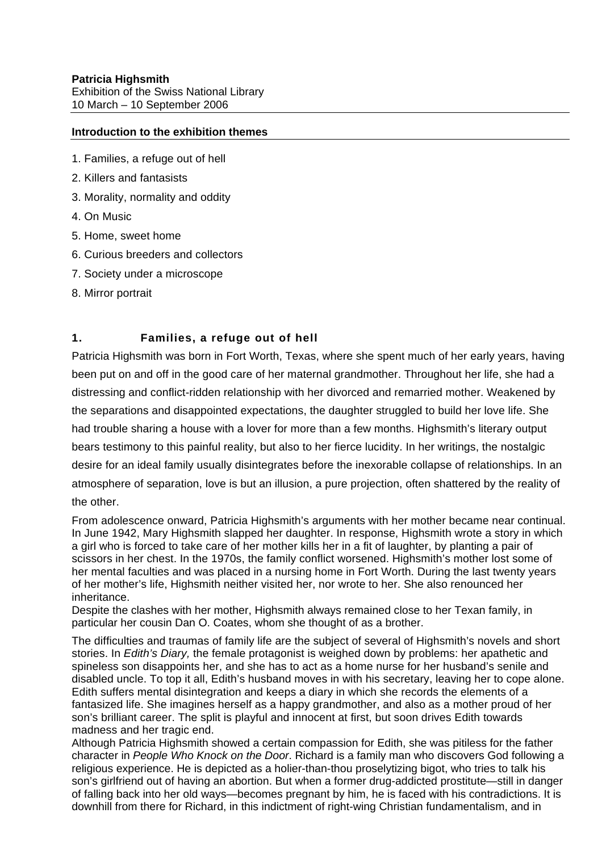#### **Introduction to the exhibition themes**

- 1. Families, a refuge out of hell
- 2. Killers and fantasists
- 3. Morality, normality and oddity
- 4. On Music
- 5. Home, sweet home
- 6. Curious breeders and collectors
- 7. Society under a microscope
- 8. Mirror portrait

### **1. Families, a refuge out of hell**

Patricia Highsmith was born in Fort Worth, Texas, where she spent much of her early years, having been put on and off in the good care of her maternal grandmother. Throughout her life, she had a distressing and conflict-ridden relationship with her divorced and remarried mother. Weakened by the separations and disappointed expectations, the daughter struggled to build her love life. She had trouble sharing a house with a lover for more than a few months. Highsmith's literary output bears testimony to this painful reality, but also to her fierce lucidity. In her writings, the nostalgic desire for an ideal family usually disintegrates before the inexorable collapse of relationships. In an atmosphere of separation, love is but an illusion, a pure projection, often shattered by the reality of the other.

From adolescence onward, Patricia Highsmith's arguments with her mother became near continual. In June 1942, Mary Highsmith slapped her daughter. In response, Highsmith wrote a story in which a girl who is forced to take care of her mother kills her in a fit of laughter, by planting a pair of scissors in her chest. In the 1970s, the family conflict worsened. Highsmith's mother lost some of her mental faculties and was placed in a nursing home in Fort Worth. During the last twenty years of her mother's life, Highsmith neither visited her, nor wrote to her. She also renounced her inheritance.

Despite the clashes with her mother, Highsmith always remained close to her Texan family, in particular her cousin Dan O. Coates, whom she thought of as a brother.

The difficulties and traumas of family life are the subject of several of Highsmith's novels and short stories. In *Edith's Diary,* the female protagonist is weighed down by problems: her apathetic and spineless son disappoints her, and she has to act as a home nurse for her husband's senile and disabled uncle. To top it all, Edith's husband moves in with his secretary, leaving her to cope alone. Edith suffers mental disintegration and keeps a diary in which she records the elements of a fantasized life. She imagines herself as a happy grandmother, and also as a mother proud of her son's brilliant career. The split is playful and innocent at first, but soon drives Edith towards madness and her tragic end.

Although Patricia Highsmith showed a certain compassion for Edith, she was pitiless for the father character in *People Who Knock on the Door*. Richard is a family man who discovers God following a religious experience. He is depicted as a holier-than-thou proselytizing bigot, who tries to talk his son's girlfriend out of having an abortion. But when a former drug-addicted prostitute—still in danger of falling back into her old ways—becomes pregnant by him, he is faced with his contradictions. It is downhill from there for Richard, in this indictment of right-wing Christian fundamentalism, and in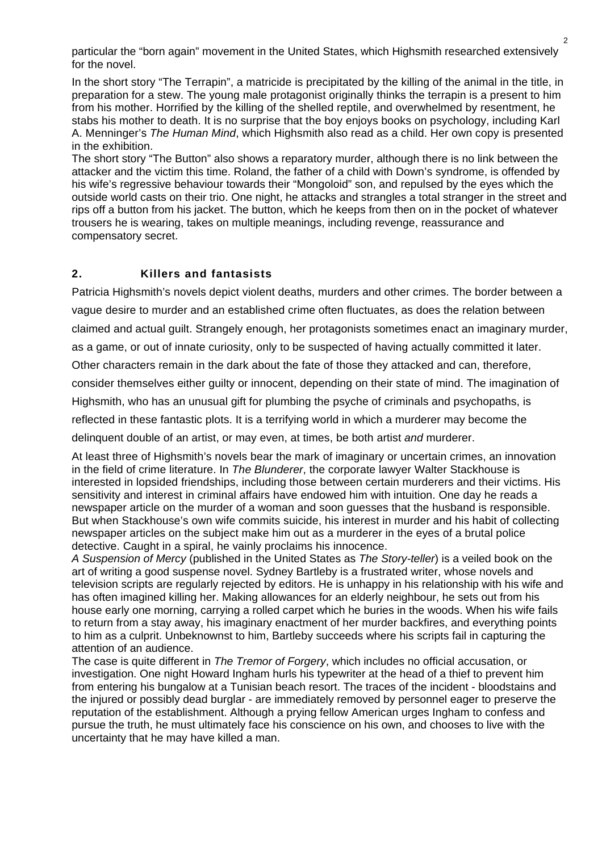particular the "born again" movement in the United States, which Highsmith researched extensively for the novel.

In the short story "The Terrapin", a matricide is precipitated by the killing of the animal in the title, in preparation for a stew. The young male protagonist originally thinks the terrapin is a present to him from his mother. Horrified by the killing of the shelled reptile, and overwhelmed by resentment, he stabs his mother to death. It is no surprise that the boy enjoys books on psychology, including Karl A. Menninger's *The Human Mind*, which Highsmith also read as a child. Her own copy is presented in the exhibition.

The short story "The Button" also shows a reparatory murder, although there is no link between the attacker and the victim this time. Roland, the father of a child with Down's syndrome, is offended by his wife's regressive behaviour towards their "Mongoloid" son, and repulsed by the eyes which the outside world casts on their trio. One night, he attacks and strangles a total stranger in the street and rips off a button from his jacket. The button, which he keeps from then on in the pocket of whatever trousers he is wearing, takes on multiple meanings, including revenge, reassurance and compensatory secret.

# **2. Killers and fantasists**

Patricia Highsmith's novels depict violent deaths, murders and other crimes. The border between a vague desire to murder and an established crime often fluctuates, as does the relation between

claimed and actual guilt. Strangely enough, her protagonists sometimes enact an imaginary murder,

as a game, or out of innate curiosity, only to be suspected of having actually committed it later.

Other characters remain in the dark about the fate of those they attacked and can, therefore,

consider themselves either guilty or innocent, depending on their state of mind. The imagination of

Highsmith, who has an unusual gift for plumbing the psyche of criminals and psychopaths, is

reflected in these fantastic plots. It is a terrifying world in which a murderer may become the

delinquent double of an artist, or may even, at times, be both artist *and* murderer.

At least three of Highsmith's novels bear the mark of imaginary or uncertain crimes, an innovation in the field of crime literature. In *The Blunderer*, the corporate lawyer Walter Stackhouse is interested in lopsided friendships, including those between certain murderers and their victims. His sensitivity and interest in criminal affairs have endowed him with intuition. One day he reads a newspaper article on the murder of a woman and soon guesses that the husband is responsible. But when Stackhouse's own wife commits suicide, his interest in murder and his habit of collecting newspaper articles on the subject make him out as a murderer in the eyes of a brutal police detective. Caught in a spiral, he vainly proclaims his innocence.

*A Suspension of Mercy* (published in the United States as *The Story-teller*) is a veiled book on the art of writing a good suspense novel. Sydney Bartleby is a frustrated writer, whose novels and television scripts are regularly rejected by editors. He is unhappy in his relationship with his wife and has often imagined killing her. Making allowances for an elderly neighbour, he sets out from his house early one morning, carrying a rolled carpet which he buries in the woods. When his wife fails to return from a stay away, his imaginary enactment of her murder backfires, and everything points to him as a culprit. Unbeknownst to him, Bartleby succeeds where his scripts fail in capturing the attention of an audience.

The case is quite different in *The Tremor of Forgery*, which includes no official accusation, or investigation. One night Howard Ingham hurls his typewriter at the head of a thief to prevent him from entering his bungalow at a Tunisian beach resort. The traces of the incident - bloodstains and the injured or possibly dead burglar - are immediately removed by personnel eager to preserve the reputation of the establishment. Although a prying fellow American urges Ingham to confess and pursue the truth, he must ultimately face his conscience on his own, and chooses to live with the uncertainty that he may have killed a man.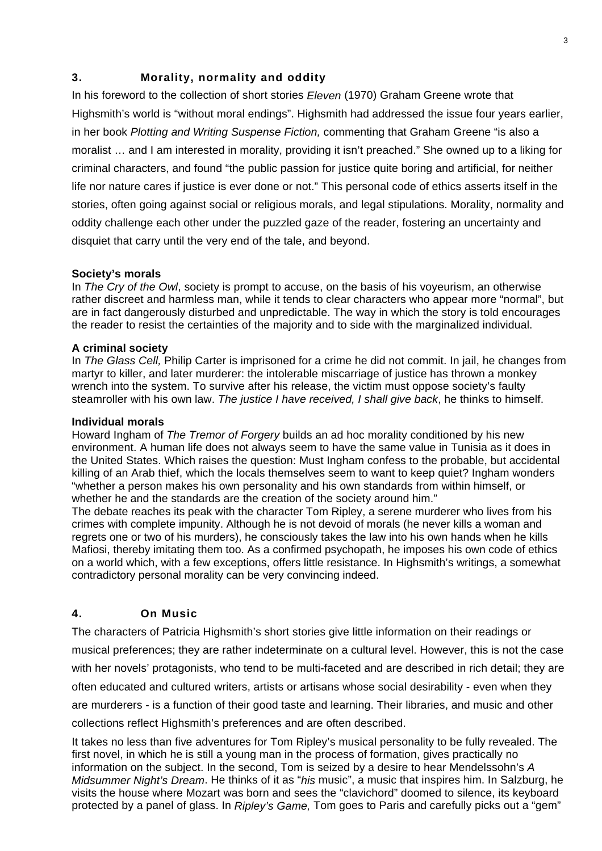## **3. Morality, normality and oddity**

In his foreword to the collection of short stories *Eleven* (1970) Graham Greene wrote that Highsmith's world is "without moral endings". Highsmith had addressed the issue four years earlier, in her book *Plotting and Writing Suspense Fiction,* commenting that Graham Greene "is also a moralist … and I am interested in morality, providing it isn't preached." She owned up to a liking for criminal characters, and found "the public passion for justice quite boring and artificial, for neither life nor nature cares if justice is ever done or not." This personal code of ethics asserts itself in the stories, often going against social or religious morals, and legal stipulations. Morality, normality and oddity challenge each other under the puzzled gaze of the reader, fostering an uncertainty and disquiet that carry until the very end of the tale, and beyond.

#### **Society's morals**

In *The Cry of the Owl*, society is prompt to accuse, on the basis of his voyeurism, an otherwise rather discreet and harmless man, while it tends to clear characters who appear more "normal", but are in fact dangerously disturbed and unpredictable. The way in which the story is told encourages the reader to resist the certainties of the majority and to side with the marginalized individual.

#### **A criminal society**

In *The Glass Cell,* Philip Carter is imprisoned for a crime he did not commit. In jail, he changes from martyr to killer, and later murderer: the intolerable miscarriage of justice has thrown a monkey wrench into the system. To survive after his release, the victim must oppose society's faulty steamroller with his own law. *The justice I have received, I shall give back*, he thinks to himself.

#### **Individual morals**

Howard Ingham of *The Tremor of Forgery* builds an ad hoc morality conditioned by his new environment. A human life does not always seem to have the same value in Tunisia as it does in the United States. Which raises the question: Must Ingham confess to the probable, but accidental killing of an Arab thief, which the locals themselves seem to want to keep quiet? Ingham wonders "whether a person makes his own personality and his own standards from within himself, or whether he and the standards are the creation of the society around him."

The debate reaches its peak with the character Tom Ripley, a serene murderer who lives from his crimes with complete impunity. Although he is not devoid of morals (he never kills a woman and regrets one or two of his murders), he consciously takes the law into his own hands when he kills Mafiosi, thereby imitating them too. As a confirmed psychopath, he imposes his own code of ethics on a world which, with a few exceptions, offers little resistance. In Highsmith's writings, a somewhat contradictory personal morality can be very convincing indeed.

### **4. On Music**

The characters of Patricia Highsmith's short stories give little information on their readings or musical preferences; they are rather indeterminate on a cultural level. However, this is not the case with her novels' protagonists, who tend to be multi-faceted and are described in rich detail; they are often educated and cultured writers, artists or artisans whose social desirability - even when they are murderers - is a function of their good taste and learning. Their libraries, and music and other collections reflect Highsmith's preferences and are often described.

It takes no less than five adventures for Tom Ripley's musical personality to be fully revealed. The first novel, in which he is still a young man in the process of formation, gives practically no information on the subject. In the second, Tom is seized by a desire to hear Mendelssohn's *A Midsummer Night's Dream*. He thinks of it as "*his* music", a music that inspires him. In Salzburg, he visits the house where Mozart was born and sees the "clavichord" doomed to silence, its keyboard protected by a panel of glass. In *Ripley's Game,* Tom goes to Paris and carefully picks out a "gem"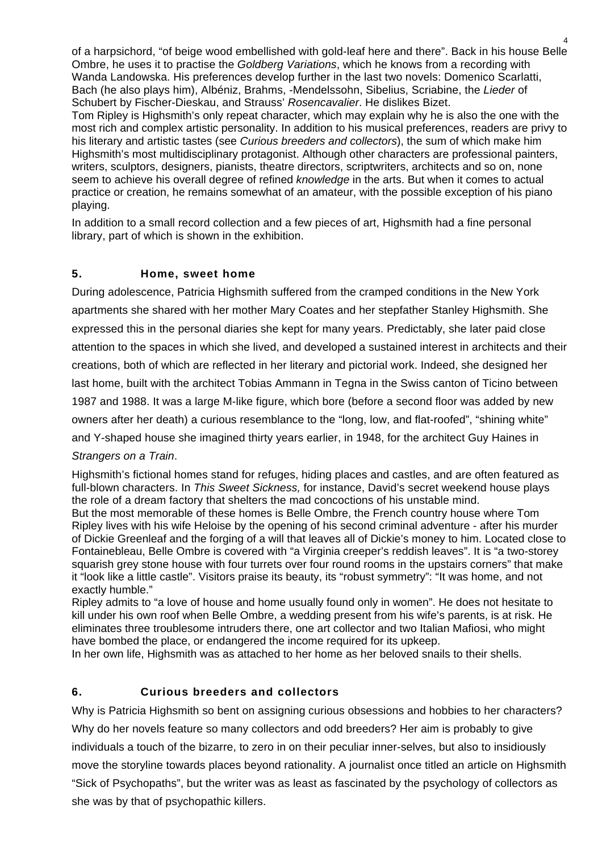of a harpsichord, "of beige wood embellished with gold-leaf here and there". Back in his house Belle Ombre, he uses it to practise the *Goldberg Variations*, which he knows from a recording with Wanda Landowska. His preferences develop further in the last two novels: Domenico Scarlatti, Bach (he also plays him), Albéniz, Brahms, -Mendelssohn, Sibelius, Scriabine, the *Lieder* of Schubert by Fischer-Dieskau, and Strauss' *Rosencavalier*. He dislikes Bizet. Tom Ripley is Highsmith's only repeat character, which may explain why he is also the one with the most rich and complex artistic personality. In addition to his musical preferences, readers are privy to

his literary and artistic tastes (see *Curious breeders and collectors*), the sum of which make him Highsmith's most multidisciplinary protagonist. Although other characters are professional painters, writers, sculptors, designers, pianists, theatre directors, scriptwriters, architects and so on, none seem to achieve his overall degree of refined *knowledge* in the arts. But when it comes to actual practice or creation, he remains somewhat of an amateur, with the possible exception of his piano playing.

In addition to a small record collection and a few pieces of art, Highsmith had a fine personal library, part of which is shown in the exhibition.

# **5. Home, sweet home**

During adolescence, Patricia Highsmith suffered from the cramped conditions in the New York apartments she shared with her mother Mary Coates and her stepfather Stanley Highsmith. She expressed this in the personal diaries she kept for many years. Predictably, she later paid close attention to the spaces in which she lived, and developed a sustained interest in architects and their creations, both of which are reflected in her literary and pictorial work. Indeed, she designed her last home, built with the architect Tobias Ammann in Tegna in the Swiss canton of Ticino between 1987 and 1988. It was a large M-like figure, which bore (before a second floor was added by new owners after her death) a curious resemblance to the "long, low, and flat-roofed", "shining white" and Y-shaped house she imagined thirty years earlier, in 1948, for the architect Guy Haines in *Strangers on a Train*.

Highsmith's fictional homes stand for refuges, hiding places and castles, and are often featured as full-blown characters. In *This Sweet Sickness,* for instance, David's secret weekend house plays the role of a dream factory that shelters the mad concoctions of his unstable mind. But the most memorable of these homes is Belle Ombre, the French country house where Tom Ripley lives with his wife Heloise by the opening of his second criminal adventure - after his murder of Dickie Greenleaf and the forging of a will that leaves all of Dickie's money to him. Located close to Fontainebleau, Belle Ombre is covered with "a Virginia creeper's reddish leaves". It is "a two-storey squarish grey stone house with four turrets over four round rooms in the upstairs corners" that make it "look like a little castle". Visitors praise its beauty, its "robust symmetry": "It was home, and not exactly humble."

Ripley admits to "a love of house and home usually found only in women". He does not hesitate to kill under his own roof when Belle Ombre, a wedding present from his wife's parents, is at risk. He eliminates three troublesome intruders there, one art collector and two Italian Mafiosi, who might have bombed the place, or endangered the income required for its upkeep.

In her own life, Highsmith was as attached to her home as her beloved snails to their shells.

# **6. Curious breeders and collectors**

Why is Patricia Highsmith so bent on assigning curious obsessions and hobbies to her characters? Why do her novels feature so many collectors and odd breeders? Her aim is probably to give individuals a touch of the bizarre, to zero in on their peculiar inner-selves, but also to insidiously move the storyline towards places beyond rationality. A journalist once titled an article on Highsmith "Sick of Psychopaths", but the writer was as least as fascinated by the psychology of collectors as she was by that of psychopathic killers.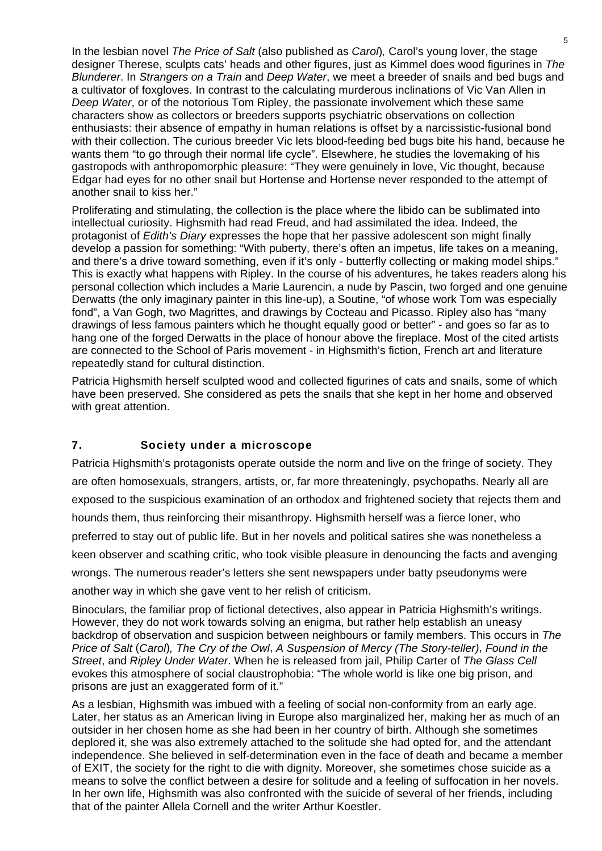In the lesbian novel *The Price of Salt* (also published as *Carol*)*,* Carol's young lover, the stage designer Therese, sculpts cats' heads and other figures, just as Kimmel does wood figurines in *The Blunderer*. In *Strangers on a Train* and *Deep Water*, we meet a breeder of snails and bed bugs and a cultivator of foxgloves. In contrast to the calculating murderous inclinations of Vic Van Allen in *Deep Water*, or of the notorious Tom Ripley, the passionate involvement which these same characters show as collectors or breeders supports psychiatric observations on collection enthusiasts: their absence of empathy in human relations is offset by a narcissistic-fusional bond with their collection. The curious breeder Vic lets blood-feeding bed bugs bite his hand, because he wants them "to go through their normal life cycle". Elsewhere, he studies the lovemaking of his gastropods with anthropomorphic pleasure: "They were genuinely in love, Vic thought, because Edgar had eyes for no other snail but Hortense and Hortense never responded to the attempt of another snail to kiss her."

Proliferating and stimulating, the collection is the place where the libido can be sublimated into intellectual curiosity. Highsmith had read Freud, and had assimilated the idea. Indeed, the protagonist of *Edith's Diary* expresses the hope that her passive adolescent son might finally develop a passion for something: "With puberty, there's often an impetus, life takes on a meaning, and there's a drive toward something, even if it's only - butterfly collecting or making model ships." This is exactly what happens with Ripley. In the course of his adventures, he takes readers along his personal collection which includes a Marie Laurencin, a nude by Pascin, two forged and one genuine Derwatts (the only imaginary painter in this line-up), a Soutine, "of whose work Tom was especially fond", a Van Gogh, two Magrittes, and drawings by Cocteau and Picasso. Ripley also has "many drawings of less famous painters which he thought equally good or better" - and goes so far as to hang one of the forged Derwatts in the place of honour above the fireplace. Most of the cited artists are connected to the School of Paris movement - in Highsmith's fiction, French art and literature repeatedly stand for cultural distinction.

Patricia Highsmith herself sculpted wood and collected figurines of cats and snails, some of which have been preserved. She considered as pets the snails that she kept in her home and observed with great attention.

### **7. Society under a microscope**

Patricia Highsmith's protagonists operate outside the norm and live on the fringe of society. They are often homosexuals, strangers, artists, or, far more threateningly, psychopaths. Nearly all are exposed to the suspicious examination of an orthodox and frightened society that rejects them and hounds them, thus reinforcing their misanthropy. Highsmith herself was a fierce loner, who preferred to stay out of public life. But in her novels and political satires she was nonetheless a keen observer and scathing critic, who took visible pleasure in denouncing the facts and avenging wrongs. The numerous reader's letters she sent newspapers under batty pseudonyms were another way in which she gave vent to her relish of criticism.

Binoculars, the familiar prop of fictional detectives, also appear in Patricia Highsmith's writings. However, they do not work towards solving an enigma, but rather help establish an uneasy backdrop of observation and suspicion between neighbours or family members. This occurs in *The Price of Salt* (*Carol*)*, The Cry of the Owl*, *A Suspension of Mercy (The Story-teller)*, *Found in the Street*, and *Ripley Under Water*. When he is released from jail, Philip Carter of *The Glass Cell* evokes this atmosphere of social claustrophobia: "The whole world is like one big prison, and prisons are just an exaggerated form of it."

As a lesbian, Highsmith was imbued with a feeling of social non-conformity from an early age. Later, her status as an American living in Europe also marginalized her, making her as much of an outsider in her chosen home as she had been in her country of birth. Although she sometimes deplored it, she was also extremely attached to the solitude she had opted for, and the attendant independence. She believed in self-determination even in the face of death and became a member of EXIT, the society for the right to die with dignity. Moreover, she sometimes chose suicide as a means to solve the conflict between a desire for solitude and a feeling of suffocation in her novels. In her own life, Highsmith was also confronted with the suicide of several of her friends, including that of the painter Allela Cornell and the writer Arthur Koestler.